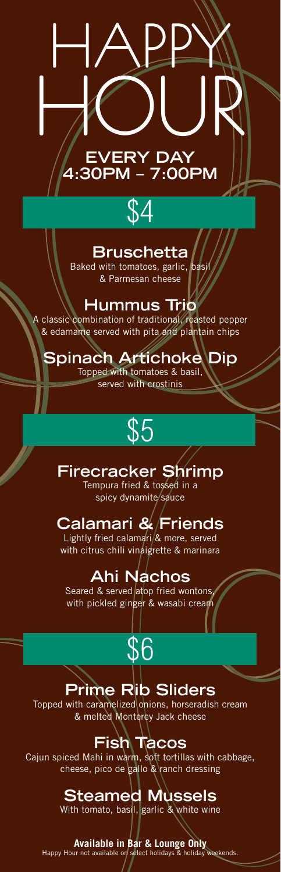



#### **Bruschetta**

Baked with tomatoes, garlic, basil & Parmesan cheese

**Hummus Trio** classic combination of traditional, roasted pepper & edamame served with pita and plantain chips

**Spinach Artichoke Dip** Topped with tomatoes & basil,

served with crostinis

## \$5

**Firecracker Shrimp** Tempura fried & tossed in a spicy dynamite/sauce

#### **Calamari & Friends**

Lightly fried calamari/& more, served with citrus chili vinaigrette & marinara

#### **Ahi Nachos**

Seared & served atop fried wontons with pickled ginger & wasabi cream

# \$6

#### **Prime Rib Sliders**

Topped with caramelized onions, horseradish cream & melted Monterey Jack cheese

**Fish Tacos**

Cajun spiced Mahi in warm, soft tortillas with cabbage, cheese, pico de gallo & ranch dressing

#### **Steamed Mussels**

With tomato, basil, garlic & white wine

**Available in Bar & Lounge Only** Happy Hour not available on select holidays & holiday weekends.